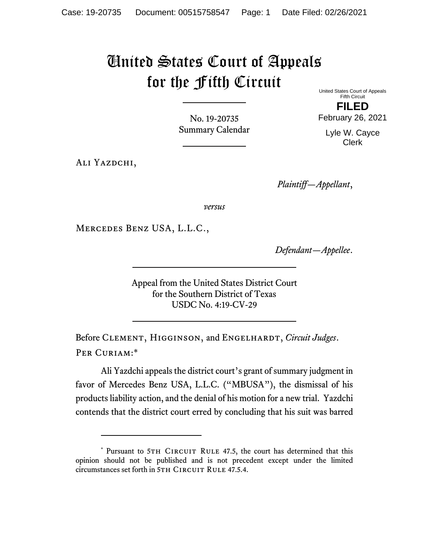## United States Court of Appeals for the Fifth Circuit

No. 19-20735 Summary Calendar

ALI YAZDCHI,

United States Court of Appeals Fifth Circuit **FILED**  February 26, 2021

Lyle W. Cayce Clerk

*Plaintiff—Appellant*,

*versus*

Mercedes Benz USA, L.L.C.,

*Defendant—Appellee*.

Appeal from the United States District Court for the Southern District of Texas USDC No. 4:19-CV-29

Before CLEMENT, HIGGINSON, and ENGELHARDT, *Circuit Judges*. Per Curiam:\*

Ali Yazdchi appeals the district court's grant of summary judgment in favor of Mercedes Benz USA, L.L.C. ("MBUSA"), the dismissal of his products liability action, and the denial of his motion for a new trial. Yazdchi contends that the district court erred by concluding that his suit was barred

<sup>\*</sup> Pursuant to 5TH CIRCUIT RULE 47.5, the court has determined that this opinion should not be published and is not precedent except under the limited circumstances set forth in 5TH CIRCUIT RULE 47.5.4.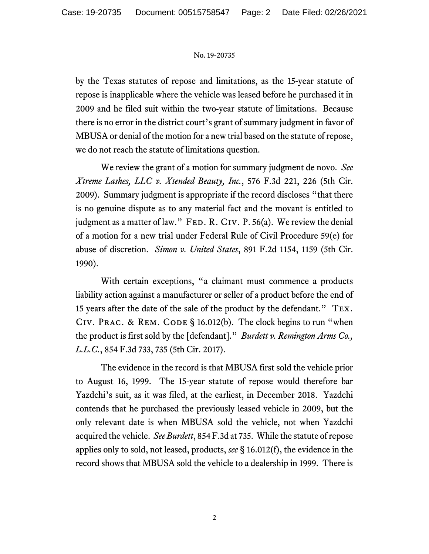## No. 19-20735

by the Texas statutes of repose and limitations, as the 15-year statute of repose is inapplicable where the vehicle was leased before he purchased it in 2009 and he filed suit within the two-year statute of limitations. Because there is no error in the district court's grant of summary judgment in favor of MBUSA or denial of the motion for a new trial based on the statute of repose, we do not reach the statute of limitations question.

We review the grant of a motion for summary judgment de novo. *See Xtreme Lashes, LLC v. Xtended Beauty, Inc.*, 576 F.3d 221, 226 (5th Cir. 2009). Summary judgment is appropriate if the record discloses "that there is no genuine dispute as to any material fact and the movant is entitled to judgment as a matter of law." FED. R. CIV. P. 56(a). We review the denial of a motion for a new trial under Federal Rule of Civil Procedure 59(e) for abuse of discretion. *Simon v. United States*, 891 F.2d 1154, 1159 (5th Cir. 1990).

With certain exceptions, "a claimant must commence a products liability action against a manufacturer or seller of a product before the end of 15 years after the date of the sale of the product by the defendant." Tex. CIV. PRAC. & REM. CODE  $\S$  16.012(b). The clock begins to run "when the product is first sold by the [defendant]." *Burdett v. Remington Arms Co., L.L.C.*, 854 F.3d 733, 735 (5th Cir. 2017).

The evidence in the record is that MBUSA first sold the vehicle prior to August 16, 1999. The 15-year statute of repose would therefore bar Yazdchi's suit, as it was filed, at the earliest, in December 2018. Yazdchi contends that he purchased the previously leased vehicle in 2009, but the only relevant date is when MBUSA sold the vehicle, not when Yazdchi acquired the vehicle. *See Burdett*, 854 F.3d at 735. While the statute of repose applies only to sold, not leased, products, *see* § 16.012(f), the evidence in the record shows that MBUSA sold the vehicle to a dealership in 1999. There is